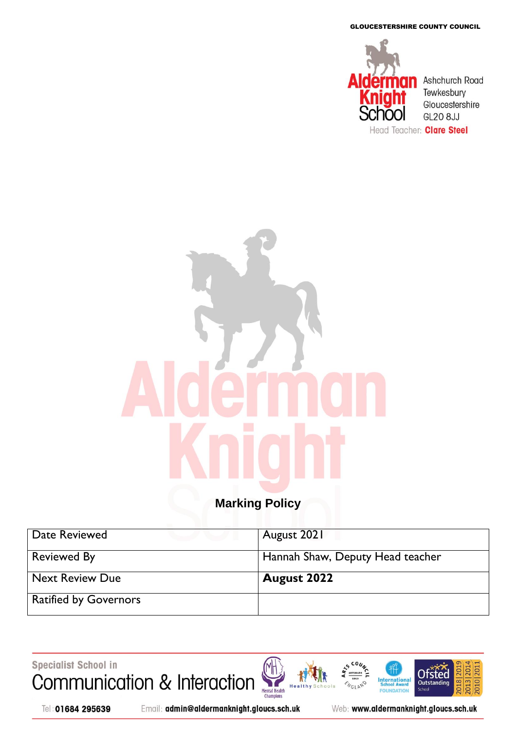GLOUCESTERSHIRE COUNTY COUNCIL



# **Marking Policy**

| Date Reviewed                | August 2021                      |
|------------------------------|----------------------------------|
| <b>Reviewed By</b>           | Hannah Shaw, Deputy Head teacher |
| <b>Next Review Due</b>       | <b>August 2022</b>               |
| <b>Ratified by Governors</b> |                                  |

Specialist School in Communication & Interaction





2018 20

020 20

2013|20

Tel: 01684 295639

Email: admin@aldermanknight.gloucs.sch.uk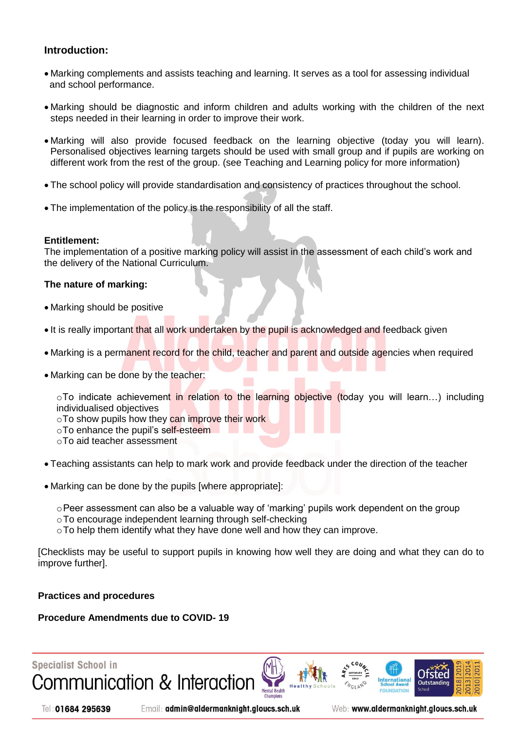# **Introduction:**

- Marking complements and assists teaching and learning. It serves as a tool for assessing individual and school performance.
- Marking should be diagnostic and inform children and adults working with the children of the next steps needed in their learning in order to improve their work.
- Marking will also provide focused feedback on the learning objective (today you will learn). Personalised objectives learning targets should be used with small group and if pupils are working on different work from the rest of the group. (see Teaching and Learning policy for more information)
- The school policy will provide standardisation and consistency of practices throughout the school.
- The implementation of the policy is the responsibility of all the staff.

### **Entitlement:**

The implementation of a positive marking policy will assist in the assessment of each child's work and the delivery of the National Curriculum.

#### **The nature of marking:**

- Marking should be positive
- . It is really important that all work undertaken by the pupil is acknowledged and feedback given
- Marking is a permanent record for the child, teacher and parent and outside agencies when required
- Marking can be done by the teacher:

 $\circ$ To indicate achievement in relation to the learning objective (today you will learn...) including individualised objectives

oTo show pupils how they can improve their work

- oTo enhance the pupil's self-esteem
- oTo aid teacher assessment
- Teaching assistants can help to mark work and provide feedback under the direction of the teacher
- Marking can be done by the pupils [where appropriate]:
	- $\circ$  Peer assessment can also be a valuable way of 'marking' pupils work dependent on the group
	- oTo encourage independent learning through self-checking
	- $\circ$ To help them identify what they have done well and how they can improve.

[Checklists may be useful to support pupils in knowing how well they are doing and what they can do to improve further].

### **Practices and procedures**

### **Procedure Amendments due to COVID- 19**



Tel: 01684 295639

Email: admin@aldermanknight.gloucs.sch.uk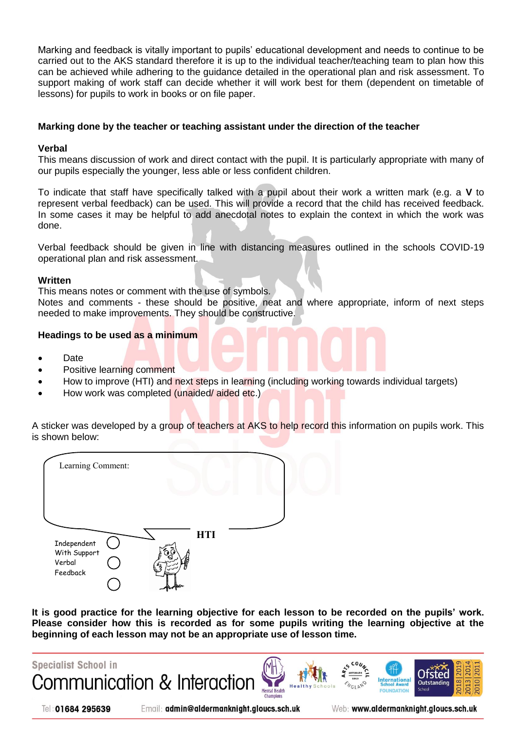Marking and feedback is vitally important to pupils' educational development and needs to continue to be carried out to the AKS standard therefore it is up to the individual teacher/teaching team to plan how this can be achieved while adhering to the guidance detailed in the operational plan and risk assessment. To support making of work staff can decide whether it will work best for them (dependent on timetable of lessons) for pupils to work in books or on file paper.

#### **Marking done by the teacher or teaching assistant under the direction of the teacher**

#### **Verbal**

This means discussion of work and direct contact with the pupil. It is particularly appropriate with many of our pupils especially the younger, less able or less confident children.

To indicate that staff have specifically talked with a pupil about their work a written mark (e.g. a **V** to represent verbal feedback) can be used. This will provide a record that the child has received feedback. In some cases it may be helpful to add anecdotal notes to explain the context in which the work was done.

Verbal feedback should be given in line with distancing measures outlined in the schools COVID-19 operational plan and risk assessment.

#### **Written**

This means notes or comment with the use of symbols.

Notes and comments - these should be positive, neat and where appropriate, inform of next steps needed to make improvements. They should be constructive.

#### **Headings to be used as a minimum**

- Date
- Positive learning comment
- How to improve (HTI) and next steps in learning (including working towards individual targets)
- How work was completed (unaided/aided etc.)

A sticker was developed by a group of teachers at AKS to help record this information on pupils work. This is shown below:

| Learning Comment:                                 |            |  |
|---------------------------------------------------|------------|--|
| Independent<br>With Support<br>Verbal<br>Feedback | <b>HTI</b> |  |

**It is good practice for the learning objective for each lesson to be recorded on the pupils' work. Please consider how this is recorded as for some pupils writing the learning objective at the beginning of each lesson may not be an appropriate use of lesson time.** 

**Specialist School in** Communication & Interaction **Mental Health** 

Tel: 01684 295639

Email: admin@aldermanknight.gloucs.sch.uk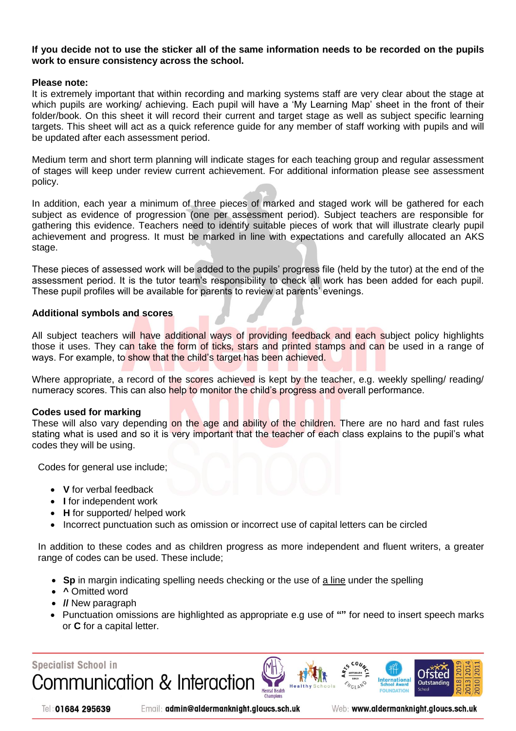#### **If you decide not to use the sticker all of the same information needs to be recorded on the pupils work to ensure consistency across the school.**

#### **Please note:**

It is extremely important that within recording and marking systems staff are very clear about the stage at which pupils are working/ achieving. Each pupil will have a 'My Learning Map' sheet in the front of their folder/book. On this sheet it will record their current and target stage as well as subject specific learning targets. This sheet will act as a quick reference guide for any member of staff working with pupils and will be updated after each assessment period.

Medium term and short term planning will indicate stages for each teaching group and regular assessment of stages will keep under review current achievement. For additional information please see assessment policy.

In addition, each year a minimum of three pieces of marked and staged work will be gathered for each subject as evidence of progression (one per assessment period). Subject teachers are responsible for gathering this evidence. Teachers need to identify suitable pieces of work that will illustrate clearly pupil achievement and progress. It must be marked in line with expectations and carefully allocated an AKS stage.

These pieces of assessed work will be added to the pupils' progress file (held by the tutor) at the end of the assessment period. It is the tutor team's responsibility to check all work has been added for each pupil. These pupil profiles will be available for parents to review at parents' evenings.

#### **Additional symbols and scores**

All subject teachers will have additional ways of providing feedback and each subject policy highlights those it uses. They can take the form of ticks, stars and printed stamps and can be used in a range of ways. For example, to show that the child's target has been achieved.

Where appropriate, a record of the scores achieved is kept by the teacher, e.g. weekly spelling/ reading/ numeracy scores. This can also help to monitor the child's progress and overall performance.

#### **Codes used for marking**

These will also vary depending on the age and ability of the children. There are no hard and fast rules stating what is used and so it is very important that the teacher of each class explains to the pupil's what codes they will be using.

Codes for general use include;

- **V** for verbal feedback
- **I** for independent work
- **H** for supported/ helped work

Communication & Interaction

• Incorrect punctuation such as omission or incorrect use of capital letters can be circled

In addition to these codes and as children progress as more independent and fluent writers, a greater range of codes can be used. These include;

- **Sp** in margin indicating spelling needs checking or the use of a line under the spelling
- **^** Omitted word
- **//** New paragraph
- Punctuation omissions are highlighted as appropriate e.g use of **""** for need to insert speech marks or **C** for a capital letter.

**Mental Health** 

**Specialist School in** 



Email: admin@aldermanknight.gloucs.sch.uk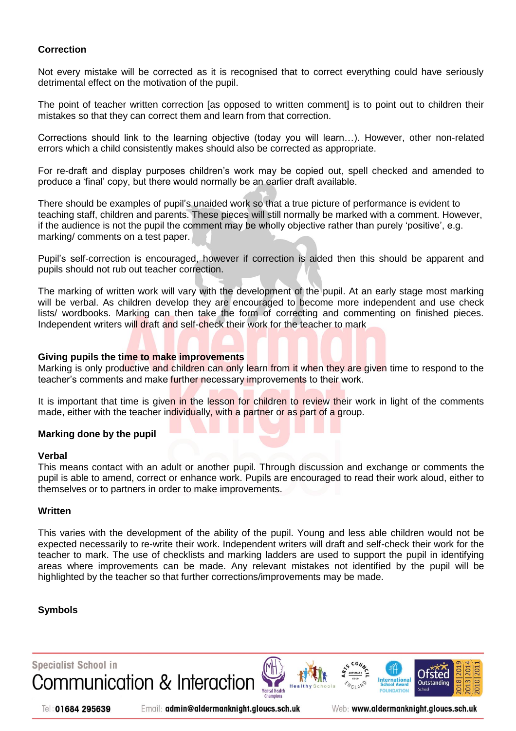#### **Correction**

Not every mistake will be corrected as it is recognised that to correct everything could have seriously detrimental effect on the motivation of the pupil.

The point of teacher written correction [as opposed to written comment] is to point out to children their mistakes so that they can correct them and learn from that correction.

Corrections should link to the learning objective (today you will learn…). However, other non-related errors which a child consistently makes should also be corrected as appropriate.

For re-draft and display purposes children's work may be copied out, spell checked and amended to produce a 'final' copy, but there would normally be an earlier draft available.

There should be examples of pupil's unaided work so that a true picture of performance is evident to teaching staff, children and parents. These pieces will still normally be marked with a comment. However, if the audience is not the pupil the comment may be wholly objective rather than purely 'positive', e.g. marking/ comments on a test paper.

Pupil's self-correction is encouraged, however if correction is aided then this should be apparent and pupils should not rub out teacher correction.

The marking of written work will vary with the development of the pupil. At an early stage most marking will be verbal. As children develop they are encouraged to become more independent and use check lists/ wordbooks. Marking can then take the form of correcting and commenting on finished pieces. Independent writers will draft and self-check their work for the teacher to mark

#### **Giving pupils the time to make improvements**

Marking is only productive and children can only learn from it when they are given time to respond to the teacher's comments and make further necessary improvements to their work.

It is important that time is given in the lesson for children to review their work in light of the comments made, either with the teacher individually, with a partner or as part of a group.

### **Marking done by the pupil**

#### **Verbal**

This means contact with an adult or another pupil. Through discussion and exchange or comments the pupil is able to amend, correct or enhance work. Pupils are encouraged to read their work aloud, either to themselves or to partners in order to make improvements.

#### **Written**

This varies with the development of the ability of the pupil. Young and less able children would not be expected necessarily to re-write their work. Independent writers will draft and self-check their work for the teacher to mark. The use of checklists and marking ladders are used to support the pupil in identifying areas where improvements can be made. Any relevant mistakes not identified by the pupil will be highlighted by the teacher so that further corrections/improvements may be made.

### **Symbols**



Tel: 01684 295639

Email: admin@aldermanknight.gloucs.sch.uk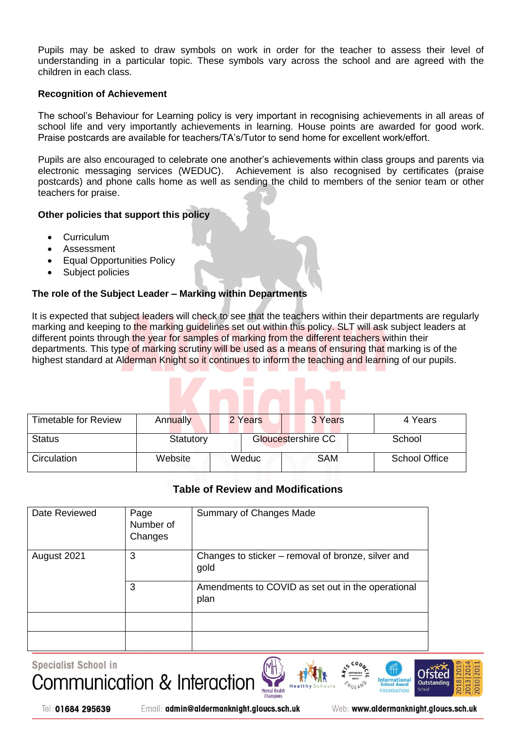Pupils may be asked to draw symbols on work in order for the teacher to assess their level of understanding in a particular topic. These symbols vary across the school and are agreed with the children in each class.

#### **Recognition of Achievement**

The school's Behaviour for Learning policy is very important in recognising achievements in all areas of school life and very importantly achievements in learning. House points are awarded for good work. Praise postcards are available for teachers/TA's/Tutor to send home for excellent work/effort.

Pupils are also encouraged to celebrate one another's achievements within class groups and parents via electronic messaging services (WEDUC). Achievement is also recognised by certificates (praise postcards) and phone calls home as well as sending the child to members of the senior team or other teachers for praise.

#### **Other policies that support this policy**

- **Curriculum**
- Assessment
- Equal Opportunities Policy
- Subject policies

# **The role of the Subject Leader – Marking within Departments**

It is expected that subject leaders will check to see that the teachers within their departments are regularly marking and keeping to the marking guidelines set out within this policy. SLT will ask subject leaders at different points through the year for samples of marking from the different teachers within their departments. This type of marking scrutiny will be used as a means of ensuring that marking is of the highest standard at Alderman Knight so it continues to inform the teaching and learning of our pupils.

| <b>Timetable for Review</b> | Annually  |       | 2 Years | 3 Years            | 4 Years       |
|-----------------------------|-----------|-------|---------|--------------------|---------------|
| <b>Status</b>               | Statutory |       |         | Gloucestershire CC | School        |
| Circulation                 | Website   | Weduc |         | <b>SAM</b>         | School Office |

## **Table of Review and Modifications**

| Date Reviewed | Page<br>Number of<br>Changes | Summary of Changes Made                                    |
|---------------|------------------------------|------------------------------------------------------------|
| August 2021   | 3                            | Changes to sticker – removal of bronze, silver and<br>gold |
|               | 3                            | Amendments to COVID as set out in the operational<br>plan  |
|               |                              |                                                            |
|               |                              |                                                            |

**Specialist School in** Communication & Interaction





Email: admin@aldermanknight.gloucs.sch.uk